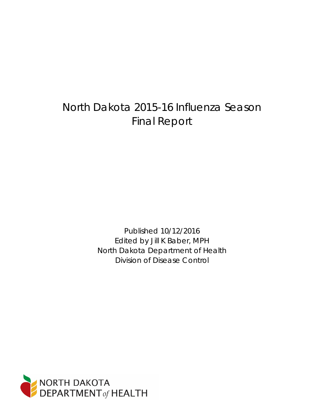# North Dakota 2015-16 Influenza Season Final Report

Published 10/12/2016 Edited by Jill K Baber, MPH North Dakota Department of Health Division of Disease Control

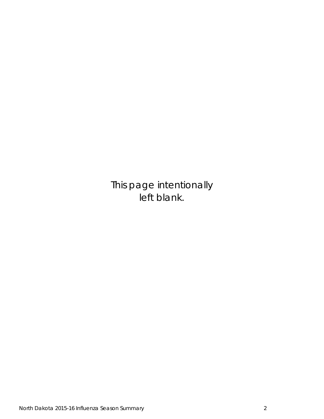This page intentionally left blank.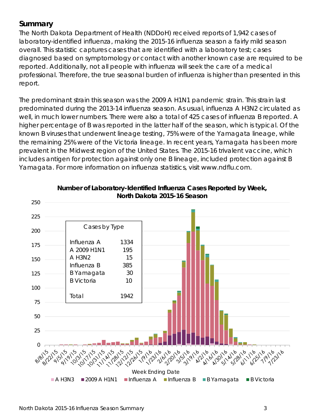## **Summary**

The North Dakota Department of Health (NDDoH) received reports of 1,942 cases of laboratory-identified influenza, making the 2015-16 influenza season a fairly mild season overall. This statistic captures cases that are identified with a laboratory test; cases diagnosed based on symptomology or contact with another known case are required to be reported. Additionally, not all people with influenza will seek the care of a medical professional. Therefore, the true seasonal burden of influenza is higher than presented in this report.

The predominant strain this season was the 2009 A H1N1 pandemic strain. This strain last predominated during the 2013-14 influenza season. As usual, influenza A H3N2 circulated as well, in much lower numbers. There were also a total of 425 cases of influenza B reported. A higher percentage of B was reported in the latter half of the season, which is typical. Of the known B viruses that underwent lineage testing, 75% were of the Yamagata lineage, while the remaining 25% were of the Victoria lineage. In recent years, Yamagata has been more prevalent in the Midwest region of the United States. The 2015-16 trivalent vaccine, which includes antigen for protection against only one B lineage, included protection against B Yamagata. For more information on influenza statistics, visit www.ndflu.com.



**Number of Laboratory-Identified Influenza Cases Reported by Week, North Dakota 2015-16 Season**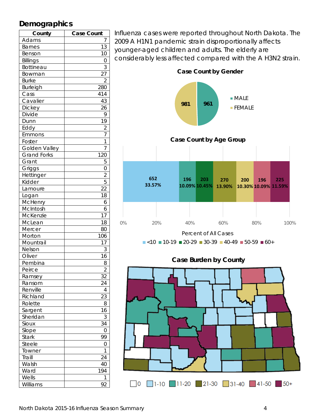## **Demographics**

| County             | <b>Case Count</b> |
|--------------------|-------------------|
| Adams              | 7                 |
| <b>Barnes</b>      | 13                |
| Benson             | 10                |
| <b>Billings</b>    | 0                 |
| <b>Bottineau</b>   | $\overline{3}$    |
| Bowman             | $\overline{27}$   |
| <b>Burke</b>       | $\overline{2}$    |
| Burleigh           | 280               |
| Cass               | 414               |
| Cavalier           | 43                |
| Dickey             | 26                |
| Divide             | 9                 |
| Dunn               | 19                |
| Eddy               |                   |
| Emmons             | $\frac{2}{7}$     |
| Foster             | $\mathbf{1}$      |
| Golden Valley      | $\overline{7}$    |
| <b>Grand Forks</b> | 120               |
| Grant              | 5                 |
| Griggs             | $\overline{0}$    |
| Hettinger          | $\overline{2}$    |
| Kidder             | $\overline{5}$    |
| Lamoure            | 22                |
| Logan              | 18                |
| <b>McHenry</b>     | 6                 |
| McIntosh           | 6                 |
| McKenzie           | 17                |
| McLean             | 18                |
| Mercer             | 80                |
| Morton             | 106               |
| Mountrail          | 17                |
| Nelson             | 3                 |
| Oliver             | 16                |
| Pembina            | 8                 |
| Peirce             | 2                 |
| Ramsey             | 32                |
| Ransom             | 24                |
| Renville           | 4                 |
| Richland           | 23                |
| Rolette            | 8                 |
| Sargent            | 16                |
| Sheridan           | 3                 |
| Sioux              | 34                |
| Slope              | 0                 |
| Stark              | 99                |
| Steele             | 0                 |
| Towner             | 1                 |
| Traill             | 24                |
| Walsh              | 40                |
| Ward               | 194               |
| Wells              | 1                 |
| Williams           | 92                |
|                    |                   |

Influenza cases were reported throughout North Dakota. The 2009 A H1N1 pandemic strain disproportionally affects younger-aged children and adults. The elderly are considerably less affected compared with the A H3N2 strain.



**Case Burden by County** 

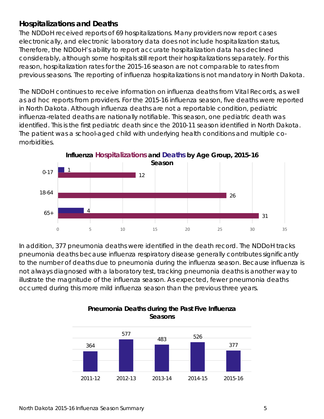## **Hospitalizations and Deaths**

The NDDoH received reports of 69 hospitalizations. Many providers now report cases electronically, and electronic laboratory data does not include hospitalization status, Therefore, the NDDoH's ability to report accurate hospitalization data has declined considerably, although some hospitals still report their hospitalizations separately. For this reason, hospitalization rates for the 2015-16 season are not comparable to rates from previous seasons. The reporting of influenza hospitalizations is not mandatory in North Dakota.

The NDDoH continues to receive information on influenza deaths from Vital Records, as well as ad hoc reports from providers. For the 2015-16 influenza season, five deaths were reported in North Dakota. Although influenza deaths are not a reportable condition, pediatric influenza-related deaths are nationally notifiable. This season, one pediatric death was identified. This is the first pediatric death since the 2010-11 season identified in North Dakota. The patient was a school-aged child with underlying health conditions and multiple comorbidities.



In addition, 377 pneumonia deaths were identified in the death record. The NDDoH tracks pneumonia deaths because influenza respiratory disease generally contributes significantly to the number of deaths due to pneumonia during the influenza season. Because influenza is not always diagnosed with a laboratory test, tracking pneumonia deaths is another way to illustrate the magnitude of the influenza season. As expected, fewer pneumonia deaths occurred during this more mild influenza season than the previous three years.



**Pneumonia Deaths during the Past Five Influenza Seasons**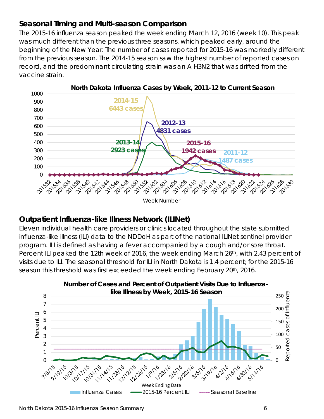## **Seasonal Timing and Multi-season Comparison**

The 2015-16 influenza season peaked the week ending March 12, 2016 (week 10). This peak was much different than the previous three seasons, which peaked early, around the beginning of the New Year. The number of cases reported for 2015-16 was markedly different from the previous season. The 2014-15 season saw the highest number of reported cases on record, and the predominant circulating strain was an A H3N2 that was drifted from the vaccine strain.



### **Outpatient Influenza-like Illness Network (ILINet)**

Eleven individual health care providers or clinics located throughout the state submitted influenza-like illness (ILI) data to the NDDoH as part of the national ILINet sentinel provider program. ILI is defined as having a fever accompanied by a cough and/or sore throat. Percent ILI peaked the 12th week of 2016, the week ending March 26<sup>th</sup>, with 2.43 percent of visits due to ILI. The seasonal threshold for ILI in North Dakota is 1.4 percent; for the 2015-16 season this threshold was first exceeded the week ending February 20<sup>th</sup>, 2016.

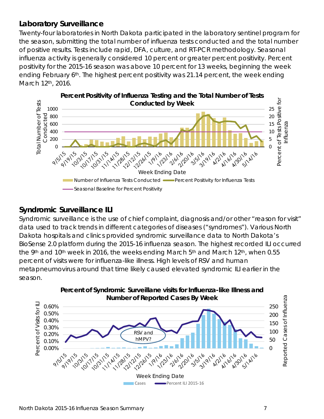## **Laboratory Surveillance**

Twenty-four laboratories in North Dakota participated in the laboratory sentinel program for the season, submitting the total number of influenza tests conducted and the total number of positive results. Tests include rapid, DFA, culture, and RT-PCR methodology. Seasonal influenza activity is generally considered 10 percent or greater percent positivity. Percent positivity for the 2015-16 season was above 10 percent for 13 weeks, beginning the week ending February 6<sup>th</sup>. The highest percent positivity was 21.14 percent, the week ending March 12<sup>th</sup>, 2016.



### **Syndromic Surveillance ILI**

Syndromic surveillance is the use of chief complaint, diagnosis and/or other "reason for visit" data used to track trends in different categories of diseases ("syndromes"). Various North Dakota hospitals and clinics provided syndromic surveillance data to North Dakota's BioSense 2.0 platform during the 2015-16 influenza season. The highest recorded ILI occurred the 9th and 10th week in 2016, the weeks ending March 5th and March 12th, when 0.55 percent of visits were for influenza-like illness. High levels of RSV and human metapneumovirus around that time likely caused elevated syndromic ILI earlier in the season.

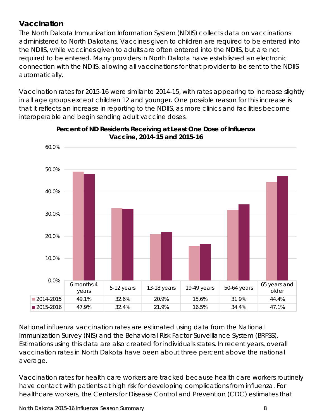## **Vaccination**

The North Dakota Immunization Information System (NDIIS) collects data on vaccinations administered to North Dakotans. Vaccines given to children are required to be entered into the NDIIS, while vaccines given to adults are often entered into the NDIIS, but are not required to be entered. Many providers in North Dakota have established an electronic connection with the NDIIS, allowing all vaccinations for that provider to be sent to the NDIIS automatically.

Vaccination rates for 2015-16 were similar to 2014-15, with rates appearing to increase slightly in all age groups except children 12 and younger. One possible reason for this increase is that it reflects an increase in reporting to the NDIIS, as more clinics and facilities become interoperable and begin sending adult vaccine doses.



#### **Percent of ND Residents Receiving at Least One Dose of Influenza Vaccine, 2014-15 and 2015-16**

National influenza vaccination rates are estimated using data from the National Immunization Survey (NIS) and the Behavioral Risk Factor Surveillance System (BRFSS). Estimations using this data are also created for individuals states. In recent years, overall vaccination rates in North Dakota have been about three percent above the national average.

Vaccination rates for health care workers are tracked because health care workers routinely have contact with patients at high risk for developing complications from influenza. For healthcare workers, the Centers for Disease Control and Prevention (CDC) estimates that